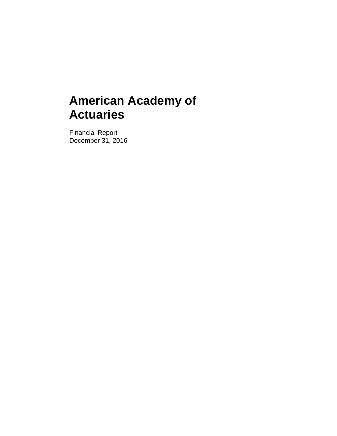Financial Report December 31, 2016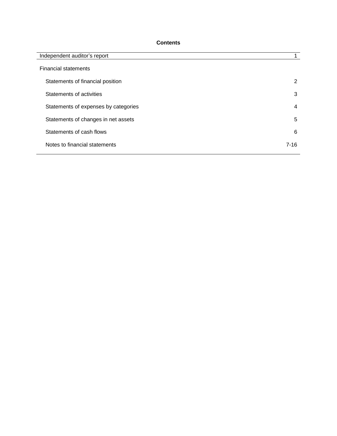## **Contents**

| Independent auditor's report         |          |
|--------------------------------------|----------|
| <b>Financial statements</b>          |          |
| Statements of financial position     | 2        |
| Statements of activities             | 3        |
| Statements of expenses by categories | 4        |
| Statements of changes in net assets  | 5        |
| Statements of cash flows             | 6        |
| Notes to financial statements        | $7 - 16$ |
|                                      |          |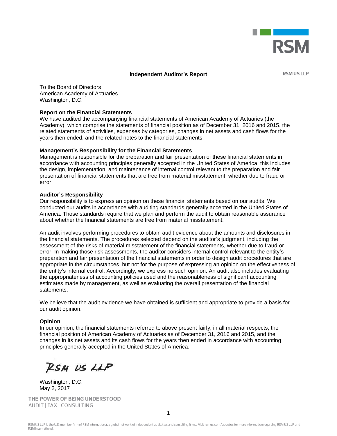

## **Independent Auditor's Report**

**RSM US LLP** 

To the Board of Directors American Academy of Actuaries Washington, D.C.

## **Report on the Financial Statements**

We have audited the accompanying financial statements of American Academy of Actuaries (the Academy), which comprise the statements of financial position as of December 31, 2016 and 2015, the related statements of activities, expenses by categories, changes in net assets and cash flows for the years then ended, and the related notes to the financial statements.

## **Management's Responsibility for the Financial Statements**

Management is responsible for the preparation and fair presentation of these financial statements in accordance with accounting principles generally accepted in the United States of America; this includes the design, implementation, and maintenance of internal control relevant to the preparation and fair presentation of financial statements that are free from material misstatement, whether due to fraud or error.

## **Auditor's Responsibility**

Our responsibility is to express an opinion on these financial statements based on our audits. We conducted our audits in accordance with auditing standards generally accepted in the United States of America. Those standards require that we plan and perform the audit to obtain reasonable assurance about whether the financial statements are free from material misstatement.

An audit involves performing procedures to obtain audit evidence about the amounts and disclosures in the financial statements. The procedures selected depend on the auditor's judgment, including the assessment of the risks of material misstatement of the financial statements, whether due to fraud or error. In making those risk assessments, the auditor considers internal control relevant to the entity's preparation and fair presentation of the financial statements in order to design audit procedures that are appropriate in the circumstances, but not for the purpose of expressing an opinion on the effectiveness of the entity's internal control. Accordingly, we express no such opinion. An audit also includes evaluating the appropriateness of accounting policies used and the reasonableness of significant accounting estimates made by management, as well as evaluating the overall presentation of the financial statements.

We believe that the audit evidence we have obtained is sufficient and appropriate to provide a basis for our audit opinion.

## **Opinion**

In our opinion, the financial statements referred to above present fairly, in all material respects, the financial position of American Academy of Actuaries as of December 31, 2016 and 2015, and the changes in its net assets and its cash flows for the years then ended in accordance with accounting principles generally accepted in the United States of America.

RSM US LLP

Washington, D.C. May 2, 2017

THE POWER OF BEING UNDERSTOOD AUDIT | TAX | CONSULTING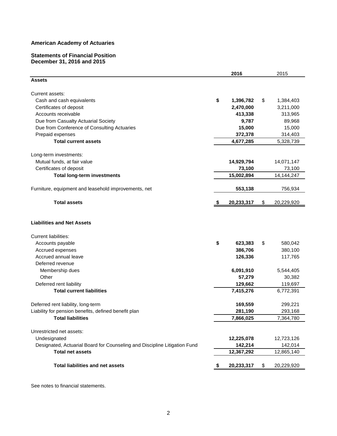#### **Statements of Financial Position December 31, 2016 and 2015**

|                                                                           |      | 2016       |    | 2015         |
|---------------------------------------------------------------------------|------|------------|----|--------------|
| <b>Assets</b>                                                             |      |            |    |              |
| Current assets:                                                           |      |            |    |              |
| Cash and cash equivalents                                                 | \$   | 1,396,782  | \$ | 1,384,403    |
| Certificates of deposit                                                   |      | 2,470,000  |    | 3,211,000    |
| Accounts receivable                                                       |      | 413,338    |    | 313,965      |
| Due from Casualty Actuarial Society                                       |      | 9,787      |    | 89,968       |
| Due from Conference of Consulting Actuaries                               |      | 15,000     |    | 15,000       |
| Prepaid expenses                                                          |      | 372,378    |    | 314,403      |
| <b>Total current assets</b>                                               |      | 4,677,285  |    | 5,328,739    |
| Long-term investments:                                                    |      |            |    |              |
| Mutual funds, at fair value                                               |      | 14,929,794 |    | 14,071,147   |
| Certificates of deposit                                                   |      | 73,100     |    | 73,100       |
| <b>Total long-term investments</b>                                        |      | 15,002,894 |    | 14, 144, 247 |
| Furniture, equipment and leasehold improvements, net                      |      | 553,138    |    | 756,934      |
| <b>Total assets</b>                                                       | - \$ | 20,233,317 | \$ | 20,229,920   |
| <b>Liabilities and Net Assets</b>                                         |      |            |    |              |
| <b>Current liabilities:</b>                                               |      |            |    |              |
| Accounts payable                                                          | \$   | 623,383    | \$ | 580,042      |
| Accrued expenses                                                          |      | 386,706    |    | 380,100      |
| Accrued annual leave                                                      |      | 126,336    |    | 117,765      |
| Deferred revenue                                                          |      |            |    |              |
| Membership dues                                                           |      | 6,091,910  |    | 5,544,405    |
| Other                                                                     |      | 57,279     |    | 30,382       |
| Deferred rent liability                                                   |      | 129,662    |    | 119,697      |
| <b>Total current liabilities</b>                                          |      | 7,415,276  |    | 6,772,391    |
| Deferred rent liability, long-term                                        |      | 169,559    |    | 299,221      |
| Liability for pension benefits, defined benefit plan                      |      | 281,190    |    | 293,168      |
| <b>Total liabilities</b>                                                  |      | 7,866,025  |    | 7,364,780    |
| Unrestricted net assets:                                                  |      |            |    |              |
| Undesignated                                                              |      | 12,225,078 |    | 12,723,126   |
| Designated, Actuarial Board for Counseling and Discipline Litigation Fund |      | 142,214    |    | 142,014      |
| <b>Total net assets</b>                                                   |      | 12,367,292 |    | 12,865,140   |
| <b>Total liabilities and net assets</b>                                   |      | 20,233,317 | S. | 20,229,920   |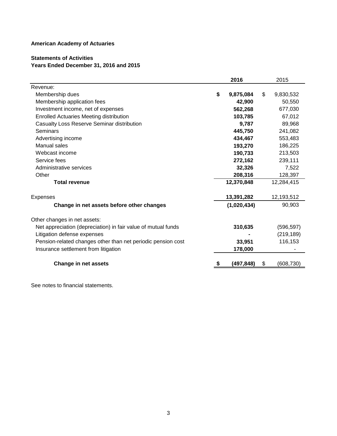# **Statements of Activities Years Ended December 31, 2016 and 2015**

|                                                               | 2016            | 2015            |
|---------------------------------------------------------------|-----------------|-----------------|
| Revenue:                                                      |                 |                 |
| Membership dues                                               | \$<br>9,875,084 | \$<br>9,830,532 |
| Membership application fees                                   | 42,900          | 50,550          |
| Investment income, net of expenses                            | 562,268         | 677,030         |
| <b>Enrolled Actuaries Meeting distribution</b>                | 103,785         | 67,012          |
| Casualty Loss Reserve Seminar distribution                    | 9,787           | 89,968          |
| Seminars                                                      | 445,750         | 241,082         |
| Advertising income                                            | 434,467         | 553,483         |
| Manual sales                                                  | 193,270         | 186,225         |
| Webcast income                                                | 190,733         | 213,503         |
| Service fees                                                  | 272,162         | 239,111         |
| Administrative services                                       | 32,326          | 7,522           |
| Other                                                         | 208,316         | 128,397         |
| <b>Total revenue</b>                                          | 12,370,848      | 12,284,415      |
| <b>Expenses</b>                                               | 13,391,282      | 12,193,512      |
| Change in net assets before other changes                     | (1,020,434)     | 90,903          |
| Other changes in net assets:                                  |                 |                 |
| Net appreciation (depreciation) in fair value of mutual funds | 310,635         | (596, 597)      |
| Litigation defense expenses                                   |                 | (219, 189)      |
| Pension-related changes other than net periodic pension cost  | 33,951          | 116,153         |
| Insurance settlement from litigation                          | 178,000         |                 |
| <b>Change in net assets</b>                                   | (497,848)       | \$<br>(608,730) |
|                                                               |                 |                 |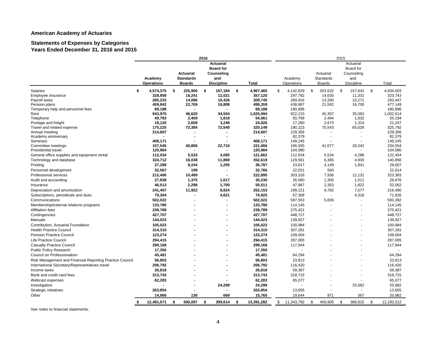#### **Statements of Expenses by Categories Years Ended December 31, 2016 and 2015**

|                                                          |                   |     |                  | 2016 |                   |                  | 2015 |              |    |                  |      |                   |          |            |
|----------------------------------------------------------|-------------------|-----|------------------|------|-------------------|------------------|------|--------------|----|------------------|------|-------------------|----------|------------|
|                                                          |                   |     |                  |      | <b>Actuarial</b>  |                  |      |              |    |                  |      | Actuarial         |          |            |
|                                                          |                   |     |                  |      | <b>Board for</b>  |                  |      |              |    |                  |      | Board for         |          |            |
|                                                          |                   |     | <b>Actuarial</b> |      | Counseling        |                  |      |              |    | Actuarial        |      | Counseling        |          |            |
|                                                          | Academy           |     | <b>Standards</b> |      | and               |                  |      | Academy      |    | <b>Standards</b> |      | and               |          |            |
|                                                          | <b>Operations</b> |     | <b>Boards</b>    |      | <b>Discipline</b> | <b>Total</b>     |      | Operations   |    | <b>Boards</b>    |      | <b>Discipline</b> |          | Total      |
| Salaries                                                 | \$<br>4,574,375   | \$  | 225,906          | \$   | 167,184           | \$<br>4,967,465  | \$   | 4,142,829    | \$ | 203,532          | \$   | 157,642           | <b>S</b> | 4,504,003  |
| Employee insurance                                       | 328,858           |     | 16,241           |      | 12,021            | 357,120          |      | 297,782      |    | 14,630           |      | 11,331            |          | 323,743    |
| Payroll taxes                                            | 285,233           |     | 14,086           |      | 10,426            | 309,745          |      | 269,916      |    | 13,260           |      | 10,271            |          | 293,447    |
| Pension plans                                            | 459,842           |     | 22,709           |      | 16,808            | 499,359          |      | 438,887      |    | 21,562           |      | 16,700            |          | 477,149    |
| Temporary help and personnel fees                        | 68,188            |     |                  |      |                   | 68,188           |      | 180,896      |    |                  |      |                   |          | 180,896    |
| Rent                                                     | 943,970           |     | 46,620           |      | 34,504            | 1,025,094        |      | 922,215      |    | 45,307           |      | 35,092            |          | 1,002,614  |
| Telephone                                                | 49,783            |     | 2,459            |      | 1,819             | 54,061           |      | 50,768       |    | 2,494            |      | 1,932             |          | 55,194     |
| Postage and freight                                      | 18,120            |     | 2,658            |      | 3,248             | 24,026           |      | 17,260       |    | 2,673            |      | 1,314             |          | 21,247     |
| Travel and related expense                               | 175,225           |     | 72,384           |      | 72,540            | 320,149          |      | 190,223      |    | 70,543           |      | 65,026            |          | 325,792    |
| Annual meeting                                           | 214,607           |     |                  |      |                   | 214,607          |      | 229,356      |    |                  |      |                   |          | 229,356    |
| Academy anniversary                                      |                   |     |                  |      |                   |                  |      | 82,379       |    |                  |      |                   |          | 82,379     |
| Seminars                                                 | 408,171           |     |                  |      |                   | 408,171          |      | 149,245      |    |                  |      |                   |          | 149,245    |
| Committee meetings                                       | 157,545           |     | 40,806           |      | 22,715            | 221,066          |      | 166,935      |    | 41,077           |      | 26,542            |          | 234,554    |
| Presidential travel                                      | 120,984           |     |                  |      |                   | 120,984          |      | 104,080      |    |                  |      |                   |          | 104,080    |
| General office supplies and equipment rental             | 112,034           |     | 5,533            |      | 4,095             | 121,662          |      | 112,634      |    | 5,534            |      | 4,286             |          | 122,454    |
| Technology and database                                  | 324,712           |     | 16,038           |      | 11,869            | 352,619          |      | 129,561      |    | 6,365            |      | 4,930             |          | 140,856    |
| Printing                                                 | 27,288            |     | 8,244            |      | 1,255             | 36,787           |      | 23,617       |    | 4,149            |      | 1,841             |          | 29,607     |
| Personnel development                                    | 32,567            |     | 199              |      |                   | 32,766           |      | 22,021       |    | 593              |      |                   |          | 22,614     |
| <b>Professional services</b>                             | 212,406           |     | 10,489           |      |                   | 222,895          |      | 303,316      |    | 7,936            |      | 12,131            |          | 323,383    |
| Audit and accounting                                     | 27,838            |     | 1,375            |      | 1,017             | 30,230           |      | 26,560       |    | 1,305            |      | 1,011             |          | 28,876     |
| Insurance                                                | 46,513            |     | 2,298            |      | 1,700             | 50,511           |      | 47,887       |    | 2,353            |      | 1,822             |          | 52,062     |
| Depreciation and amortization                            | 241,407           |     | 11,922           |      | 8,824             | 262,153          |      | 199,121      |    | 9,782            |      | 7,577             |          | 216,480    |
| Subscriptions, periodicals and dues                      | 70,304            |     |                  |      | 4,621             | 74,925           |      | 67,308       |    |                  |      | 4,318             |          | 71,626     |
| Communications                                           | 502,022           |     |                  |      |                   | 502,022          |      | 587,553      |    | 5,839            |      |                   |          | 593,392    |
| Membership/external relations programs                   | 133,780           |     |                  |      |                   | 133,780          |      | 114,145      |    |                  |      |                   |          | 114,145    |
| <b>Affiliation fees</b>                                  | 239,789           |     |                  |      |                   | 239,789          |      | 275,421      |    |                  |      |                   |          | 275,421    |
| Contingencies                                            | 427,707           |     |                  |      |                   | 427,707          |      | 448,727      |    |                  |      |                   |          | 448,727    |
| Manuals                                                  | 144,023           |     |                  |      |                   | 144,023          |      | 139,927      |    |                  |      |                   |          | 139,927    |
| Contribution, Actuarial Foundation                       | 105,023           |     |                  |      |                   | 105,023          |      | 100,984      |    |                  |      |                   |          | 100,984    |
| <b>Health Practice Council</b>                           | 314,310           |     |                  |      |                   | 314,310          |      | 307,281      |    |                  |      |                   |          | 307,281    |
| <b>Pension Practice Council</b>                          | 123,274           |     |                  |      |                   | 123,274          |      | 109,004      |    |                  |      |                   |          | 109,004    |
| Life Practice Council                                    | 294,415           |     |                  |      |                   | 294,415          |      | 287,005      |    |                  |      |                   |          | 287,005    |
| <b>Casualty Practice Council</b>                         | 299,168           |     |                  |      |                   | 299,168          |      | 117,944      |    |                  |      |                   |          | 117,944    |
|                                                          |                   |     |                  |      |                   |                  |      |              |    |                  |      |                   |          |            |
| <b>Public Policy Research</b>                            | 17,350            |     |                  |      |                   | 17,350           |      |              |    |                  |      |                   |          |            |
| Council on Professionalism                               | 45,481            |     |                  |      |                   | 45,481           |      | 64,294       |    |                  |      |                   |          | 64,294     |
| Risk Management and Financial Reporting Practice Council | 56,803            |     |                  |      |                   | 56,803           |      | 23,813       |    |                  |      |                   |          | 23,813     |
| International Secretary/Representatives travel           | 206,792           |     |                  |      |                   | 206,792          |      | 116,420      |    |                  |      |                   |          | 116,420    |
| Income taxes                                             | 26,818            |     |                  |      |                   | 26,818           |      | 59,387       |    |                  |      |                   |          | 59,387     |
| Bank and credit card fees                                | 313,743           |     |                  |      |                   | 313,743          |      | 318,715      |    |                  |      |                   |          | 318,715    |
| Webcast expenses                                         | 62,283            |     |                  |      |                   | 62,283           |      | 65,077       |    |                  |      |                   |          | 65,077     |
| Investigative                                            |                   |     |                  |      | 24,299            | 24,299           |      |              |    |                  |      | 25,682            |          | 25,682     |
| Strategic initiatives                                    | 263,854           |     |                  |      |                   | 263,854          |      | 13,655       |    |                  |      |                   |          | 13,655     |
| Other                                                    | 14,966            |     | 130              |      | 669               | 15,765           |      | 19,644       |    | 971              |      | 367               |          | 20,982     |
|                                                          | 12,491,571        | -\$ | 500,097          | -\$  | 399,614           | \$<br>13,391,282 |      | \$11,343,792 | \$ | 459,905          | - \$ | 389,815           | - \$     | 12,193,512 |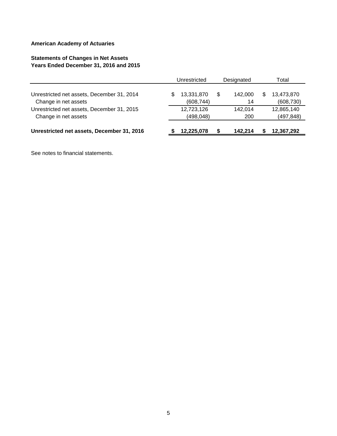# **Statements of Changes in Net Assets Years Ended December 31, 2016 and 2015**

|                                                                    | Unrestricted             |   | Designated     |   | Total                    |
|--------------------------------------------------------------------|--------------------------|---|----------------|---|--------------------------|
| Unrestricted net assets, December 31, 2014<br>Change in net assets | 13,331,870<br>(608, 744) | S | 142.000<br>14  | S | 13,473,870<br>(608, 730) |
| Unrestricted net assets, December 31, 2015<br>Change in net assets | 12,723,126<br>(498, 048) |   | 142.014<br>200 |   | 12,865,140<br>(497, 848) |
| Unrestricted net assets, December 31, 2016                         | 12,225,078               |   | 142.214        |   | 12,367,292               |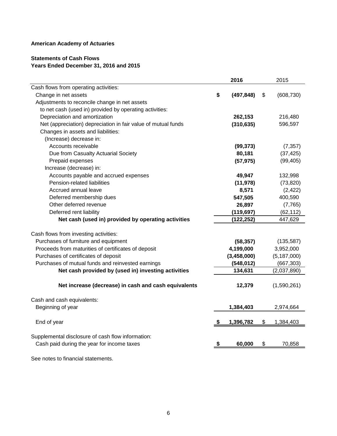# **Statements of Cash Flows Years Ended December 31, 2016 and 2015**

|                                                               | 2016             | 2015             |
|---------------------------------------------------------------|------------------|------------------|
| Cash flows from operating activities:                         |                  |                  |
| Change in net assets                                          | \$<br>(497, 848) | \$<br>(608, 730) |
| Adjustments to reconcile change in net assets                 |                  |                  |
| to net cash (used in) provided by operating activities:       |                  |                  |
| Depreciation and amortization                                 | 262,153          | 216,480          |
| Net (appreciation) depreciation in fair value of mutual funds | (310, 635)       | 596,597          |
| Changes in assets and liabilities:                            |                  |                  |
| (Increase) decrease in:                                       |                  |                  |
| Accounts receivable                                           | (99, 373)        | (7, 357)         |
| Due from Casualty Actuarial Society                           | 80,181           | (37, 425)        |
| Prepaid expenses                                              | (57, 975)        | (99, 405)        |
| Increase (decrease) in:                                       |                  |                  |
| Accounts payable and accrued expenses                         | 49,947           | 132,998          |
| Pension-related liabilities                                   | (11, 978)        | (73, 820)        |
| Accrued annual leave                                          | 8,571            | (2, 422)         |
| Deferred membership dues                                      | 547,505          | 400,590          |
| Other deferred revenue                                        | 26,897           | (7, 765)         |
| Deferred rent liability                                       | (119, 697)       | (62, 112)        |
| Net cash (used in) provided by operating activities           | (122, 252)       | 447,629          |
| Cash flows from investing activities:                         |                  |                  |
| Purchases of furniture and equipment                          | (58, 357)        | (135, 587)       |
| Proceeds from maturities of certificates of deposit           | 4,199,000        | 3,952,000        |
| Purchases of certificates of deposit                          | (3,458,000)      | (5, 187, 000)    |
| Purchases of mutual funds and reinvested earnings             | (548, 012)       | (667, 303)       |
| Net cash provided by (used in) investing activities           | 134,631          | (2,037,890)      |
|                                                               |                  |                  |
| Net increase (decrease) in cash and cash equivalents          | 12,379           | (1,590,261)      |
| Cash and cash equivalents:                                    |                  |                  |
| Beginning of year                                             | 1,384,403        | 2,974,664        |
|                                                               |                  |                  |
| End of year                                                   | 1,396,782        | \$<br>1,384,403  |
|                                                               |                  |                  |
| Supplemental disclosure of cash flow information:             |                  |                  |
| Cash paid during the year for income taxes                    | 60,000           | \$<br>70,858     |
|                                                               |                  |                  |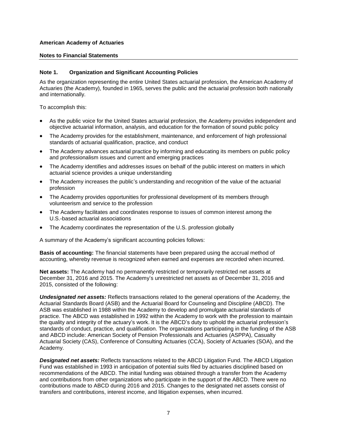#### **Notes to Financial Statements**

## **Note 1. Organization and Significant Accounting Policies**

As the organization representing the entire United States actuarial profession, the American Academy of Actuaries (the Academy), founded in 1965, serves the public and the actuarial profession both nationally and internationally.

To accomplish this:

- As the public voice for the United States actuarial profession, the Academy provides independent and objective actuarial information, analysis, and education for the formation of sound public policy
- The Academy provides for the establishment, maintenance, and enforcement of high professional standards of actuarial qualification, practice, and conduct
- The Academy advances actuarial practice by informing and educating its members on public policy and professionalism issues and current and emerging practices
- The Academy identifies and addresses issues on behalf of the public interest on matters in which actuarial science provides a unique understanding
- The Academy increases the public's understanding and recognition of the value of the actuarial profession
- The Academy provides opportunities for professional development of its members through volunteerism and service to the profession
- The Academy facilitates and coordinates response to issues of common interest among the U.S.-based actuarial associations
- The Academy coordinates the representation of the U.S. profession globally

A summary of the Academy's significant accounting policies follows:

**Basis of accounting:** The financial statements have been prepared using the accrual method of accounting, whereby revenue is recognized when earned and expenses are recorded when incurred.

**Net assets:** The Academy had no permanently restricted or temporarily restricted net assets at December 31, 2016 and 2015. The Academy's unrestricted net assets as of December 31, 2016 and 2015, consisted of the following:

*Undesignated net assets:* Reflects transactions related to the general operations of the Academy, the Actuarial Standards Board (ASB) and the Actuarial Board for Counseling and Discipline (ABCD). The ASB was established in 1988 within the Academy to develop and promulgate actuarial standards of practice. The ABCD was established in 1992 within the Academy to work with the profession to maintain the quality and integrity of the actuary's work. It is the ABCD's duty to uphold the actuarial profession's standards of conduct, practice, and qualification. The organizations participating in the funding of the ASB and ABCD include: American Society of Pension Professionals and Actuaries (ASPPA), Casualty Actuarial Society (CAS), Conference of Consulting Actuaries (CCA), Society of Actuaries (SOA), and the Academy.

*Designated net assets:* Reflects transactions related to the ABCD Litigation Fund. The ABCD Litigation Fund was established in 1993 in anticipation of potential suits filed by actuaries disciplined based on recommendations of the ABCD. The initial funding was obtained through a transfer from the Academy and contributions from other organizations who participate in the support of the ABCD. There were no contributions made to ABCD during 2016 and 2015. Changes to the designated net assets consist of transfers and contributions, interest income, and litigation expenses, when incurred.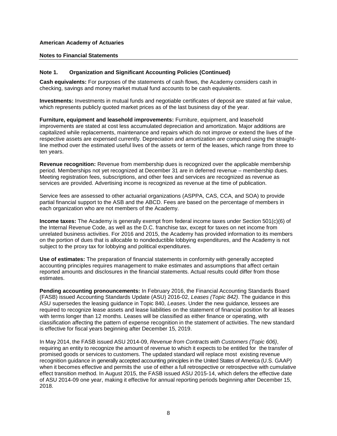## **Notes to Financial Statements**

## **Note 1. Organization and Significant Accounting Policies (Continued)**

**Cash equivalents:** For purposes of the statements of cash flows, the Academy considers cash in checking, savings and money market mutual fund accounts to be cash equivalents.

**Investments:** Investments in mutual funds and negotiable certificates of deposit are stated at fair value, which represents publicly quoted market prices as of the last business day of the year.

**Furniture, equipment and leasehold improvements:** Furniture, equipment, and leasehold improvements are stated at cost less accumulated depreciation and amortization. Major additions are capitalized while replacements, maintenance and repairs which do not improve or extend the lives of the respective assets are expensed currently. Depreciation and amortization are computed using the straightline method over the estimated useful lives of the assets or term of the leases, which range from three to ten years.

**Revenue recognition:** Revenue from membership dues is recognized over the applicable membership period. Memberships not yet recognized at December 31 are in deferred revenue – membership dues. Meeting registration fees, subscriptions, and other fees and services are recognized as revenue as services are provided. Advertising income is recognized as revenue at the time of publication.

Service fees are assessed to other actuarial organizations (ASPPA, CAS, CCA, and SOA) to provide partial financial support to the ASB and the ABCD. Fees are based on the percentage of members in each organization who are not members of the Academy.

**Income taxes:** The Academy is generally exempt from federal income taxes under Section 501(c)(6) of the Internal Revenue Code, as well as the D.C. franchise tax, except for taxes on net income from unrelated business activities. For 2016 and 2015, the Academy has provided information to its members on the portion of dues that is allocable to nondeductible lobbying expenditures, and the Academy is not subject to the proxy tax for lobbying and political expenditures.

**Use of estimates:** The preparation of financial statements in conformity with generally accepted accounting principles requires management to make estimates and assumptions that affect certain reported amounts and disclosures in the financial statements. Actual results could differ from those estimates.

**Pending accounting pronouncements:** In February 2016, the Financial Accounting Standards Board (FASB) issued Accounting Standards Update (ASU) 2016-02, *Leases (Topic 842)*. The guidance in this ASU supersedes the leasing guidance in Topic 840, *Leases*. Under the new guidance, lessees are required to recognize lease assets and lease liabilities on the statement of financial position for all leases with terms longer than 12 months. Leases will be classified as either finance or operating, with classification affecting the pattern of expense recognition in the statement of activities. The new standard is effective for fiscal years beginning after December 15, 2019.

In May 2014, the FASB issued ASU 2014-09, *Revenue from Contracts with Customers (Topic 606)*, requiring an entity to recognize the amount of revenue to which it expects to be entitled for the transfer of promised goods or services to customers. The updated standard will replace most existing revenue recognition guidance in generally accepted accounting principles in the United States of America (U.S. GAAP) when it becomes effective and permits the use of either a full retrospective or retrospective with cumulative effect transition method. In August 2015, the FASB issued ASU 2015-14, which defers the effective date of ASU 2014-09 one year, making it effective for annual reporting periods beginning after December 15, 2018.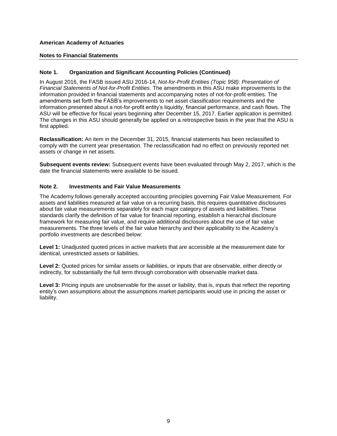## **Notes to Financial Statements**

## **Note 1. Organization and Significant Accounting Policies (Continued)**

In August 2016, the FASB issued ASU 2016-14, *Not-for-Profit Entities (Topic 958): Presentation of Financial Statements of Not-for-Profit Entities*. The amendments in this ASU make improvements to the information provided in financial statements and accompanying notes of not-for-profit entities. The amendments set forth the FASB's improvements to net asset classification requirements and the information presented about a not-for-profit entity's liquidity, financial performance, and cash flows. The ASU will be effective for fiscal years beginning after December 15, 2017. Earlier application is permitted. The changes in this ASU should generally be applied on a retrospective basis in the year that the ASU is first applied.

**Reclassification:** An item in the December 31, 2015, financial statements has been reclassified to comply with the current year presentation. The reclassification had no effect on previously reported net assets or change in net assets.

**Subsequent events review:** Subsequent events have been evaluated through May 2, 2017, which is the date the financial statements were available to be issued.

## **Note 2. Investments and Fair Value Measurements**

The Academy follows generally accepted accounting principles governing Fair Value Measurement*.* For assets and liabilities measured at fair value on a recurring basis, this requires quantitative disclosures about fair value measurements separately for each major category of assets and liabilities. These standards clarify the definition of fair value for financial reporting, establish a hierarchal disclosure framework for measuring fair value, and require additional disclosures about the use of fair value measurements. The three levels of the fair value hierarchy and their applicability to the Academy's portfolio investments are described below:

**Level 1:** Unadjusted quoted prices in active markets that are accessible at the measurement date for identical, unrestricted assets or liabilities.

**Level 2:** Quoted prices for similar assets or liabilities, or inputs that are observable, either directly or indirectly, for substantially the full term through corroboration with observable market data.

**Level 3:** Pricing inputs are unobservable for the asset or liability, that is, inputs that reflect the reporting entity's own assumptions about the assumptions market participants would use in pricing the asset or liability.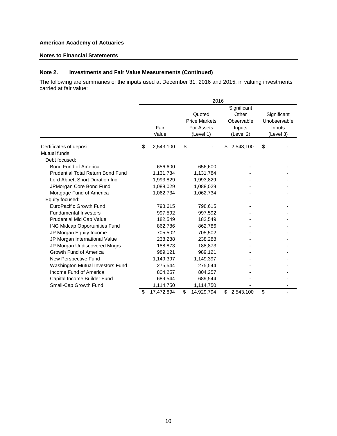## **Notes to Financial Statements**

## **Note 2. Investments and Fair Value Measurements (Continued)**

The following are summaries of the inputs used at December 31, 2016 and 2015, in valuing investments carried at fair value:

|                                          | 2016 |            |    |                      |    |             |    |              |
|------------------------------------------|------|------------|----|----------------------|----|-------------|----|--------------|
|                                          |      |            |    |                      |    | Significant |    |              |
|                                          |      |            |    | Quoted               |    | Other       |    | Significant  |
|                                          |      |            |    | <b>Price Markets</b> |    | Observable  |    | Unobservable |
|                                          |      | Fair       |    | For Assets           |    | Inputs      |    | Inputs       |
|                                          |      | Value      |    | (Level 1)            |    | (Level 2)   |    | (Level 3)    |
| Certificates of deposit                  | \$   | 2,543,100  | \$ |                      | \$ | 2,543,100   | \$ |              |
| Mutual funds:                            |      |            |    |                      |    |             |    |              |
| Debt focused:                            |      |            |    |                      |    |             |    |              |
| Bond Fund of America                     |      | 656,600    |    | 656,600              |    |             |    |              |
| <b>Prudential Total Return Bond Fund</b> |      | 1,131,784  |    | 1,131,784            |    |             |    |              |
| Lord Abbett Short Duration Inc.          |      | 1,993,829  |    | 1,993,829            |    |             |    |              |
| JPMorgan Core Bond Fund                  |      | 1,088,029  |    | 1,088,029            |    |             |    |              |
| Mortgage Fund of America                 |      | 1,062,734  |    | 1,062,734            |    |             |    |              |
| Equity focused:                          |      |            |    |                      |    |             |    |              |
| EuroPacific Growth Fund                  |      | 798,615    |    | 798,615              |    |             |    |              |
| <b>Fundamental Investors</b>             |      | 997,592    |    | 997,592              |    |             |    |              |
| Prudential Mid Cap Value                 |      | 182,549    |    | 182,549              |    |             |    |              |
| <b>ING Midcap Opportunities Fund</b>     |      | 862,786    |    | 862,786              |    |             |    |              |
| JP Morgan Equity Income                  |      | 705,502    |    | 705,502              |    |             |    |              |
| JP Morgan International Value            |      | 238,288    |    | 238,288              |    |             |    |              |
| JP Morgan Undiscovered Mngrs             |      | 188,873    |    | 188,873              |    |             |    |              |
| Growth Fund of America                   |      | 989,121    |    | 989,121              |    |             |    |              |
| New Perspective Fund                     |      | 1,149,397  |    | 1,149,397            |    |             |    |              |
| Washington Mutual Investors Fund         |      | 275,544    |    | 275,544              |    |             |    |              |
| Income Fund of America                   |      | 804,257    |    | 804,257              |    |             |    |              |
| Capital Income Builder Fund              |      | 689,544    |    | 689,544              |    |             |    |              |
| Small-Cap Growth Fund                    |      | 1,114,750  |    | 1,114,750            |    |             |    |              |
|                                          | \$   | 17,472,894 | \$ | 14,929,794           | \$ | 2,543,100   | \$ |              |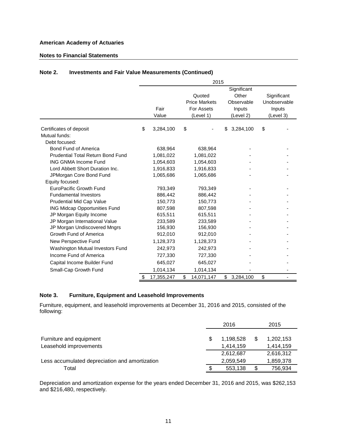## **Notes to Financial Statements**

## **Note 2. Investments and Fair Value Measurements (Continued)**

|                                          | 2015 |            |             |                      |    |            |    |              |  |  |
|------------------------------------------|------|------------|-------------|----------------------|----|------------|----|--------------|--|--|
|                                          |      |            | Significant |                      |    |            |    |              |  |  |
|                                          |      |            |             | Quoted               |    | Other      |    | Significant  |  |  |
|                                          |      |            |             | <b>Price Markets</b> |    | Observable |    | Unobservable |  |  |
|                                          |      | Fair       |             | <b>For Assets</b>    |    | Inputs     |    | Inputs       |  |  |
|                                          |      | Value      |             | (Level 1)            |    | (Level 2)  |    | (Level 3)    |  |  |
| Certificates of deposit                  | \$   | 3,284,100  | \$          |                      | \$ | 3,284,100  | \$ |              |  |  |
| Mutual funds:                            |      |            |             |                      |    |            |    |              |  |  |
| Debt focused:                            |      |            |             |                      |    |            |    |              |  |  |
| Bond Fund of America                     |      | 638,964    |             | 638,964              |    |            |    |              |  |  |
| <b>Prudential Total Return Bond Fund</b> |      | 1,081,022  |             | 1,081,022            |    |            |    |              |  |  |
| <b>ING GNMA Income Fund</b>              |      | 1,054,603  |             | 1,054,603            |    |            |    |              |  |  |
| Lord Abbett Short Duration Inc.          |      | 1,916,833  |             | 1,916,833            |    |            |    |              |  |  |
| JPMorgan Core Bond Fund                  |      | 1,065,686  |             | 1,065,686            |    |            |    |              |  |  |
| Equity focused:                          |      |            |             |                      |    |            |    |              |  |  |
| <b>EuroPacific Growth Fund</b>           |      | 793,349    |             | 793,349              |    |            |    |              |  |  |
| <b>Fundamental Investors</b>             |      | 886,442    |             | 886,442              |    |            |    |              |  |  |
| Prudential Mid Cap Value                 |      | 150,773    |             | 150,773              |    |            |    |              |  |  |
| <b>ING Midcap Opportunities Fund</b>     |      | 807,598    |             | 807,598              |    |            |    |              |  |  |
| JP Morgan Equity Income                  |      | 615,511    |             | 615,511              |    |            |    |              |  |  |
| JP Morgan International Value            |      | 233,589    |             | 233,589              |    |            |    |              |  |  |
| JP Morgan Undiscovered Mngrs             |      | 156,930    |             | 156,930              |    |            |    |              |  |  |
| Growth Fund of America                   |      | 912,010    |             | 912,010              |    |            |    |              |  |  |
| New Perspective Fund                     |      | 1,128,373  |             | 1,128,373            |    |            |    |              |  |  |
| Washington Mutual Investors Fund         |      | 242,973    |             | 242,973              |    |            |    |              |  |  |
| Income Fund of America                   |      | 727,330    |             | 727,330              |    |            |    |              |  |  |
| Capital Income Builder Fund              |      | 645,027    |             | 645,027              |    |            |    |              |  |  |
| Small-Cap Growth Fund                    |      | 1,014,134  |             | 1,014,134            |    |            |    |              |  |  |
|                                          | \$   | 17,355,247 | \$          | 14,071,147           | \$ | 3,284,100  | \$ |              |  |  |

## **Note 3. Furniture, Equipment and Leasehold Improvements**

Furniture, equipment, and leasehold improvements at December 31, 2016 and 2015, consisted of the following:

|                                                |   | 2016      | 2015      |
|------------------------------------------------|---|-----------|-----------|
|                                                |   |           |           |
| Furniture and equipment                        | S | 1,198,528 | 1,202,153 |
| Leasehold improvements                         |   | 1.414.159 | 1.414.159 |
|                                                |   | 2,612,687 | 2,616,312 |
| Less accumulated depreciation and amortization |   | 2,059,549 | 1,859,378 |
| Total                                          |   | 553,138   | 756,934   |

Depreciation and amortization expense for the years ended December 31, 2016 and 2015, was \$262,153 and \$216,480, respectively.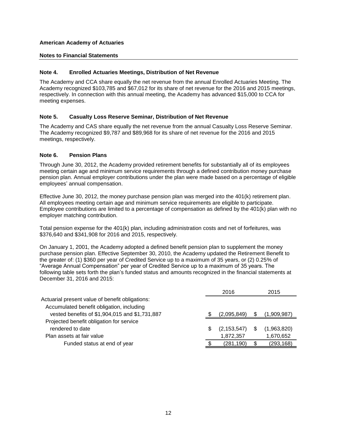## **Notes to Financial Statements**

## **Note 4. Enrolled Actuaries Meetings, Distribution of Net Revenue**

The Academy and CCA share equally the net revenue from the annual Enrolled Actuaries Meeting. The Academy recognized \$103,785 and \$67,012 for its share of net revenue for the 2016 and 2015 meetings, respectively. In connection with this annual meeting, the Academy has advanced \$15,000 to CCA for meeting expenses.

## **Note 5. Casualty Loss Reserve Seminar, Distribution of Net Revenue**

The Academy and CAS share equally the net revenue from the annual Casualty Loss Reserve Seminar. The Academy recognized \$9,787 and \$89,968 for its share of net revenue for the 2016 and 2015 meetings, respectively.

## **Note 6. Pension Plans**

Through June 30, 2012, the Academy provided retirement benefits for substantially all of its employees meeting certain age and minimum service requirements through a defined contribution money purchase pension plan. Annual employer contributions under the plan were made based on a percentage of eligible employees' annual compensation.

Effective June 30, 2012, the money purchase pension plan was merged into the 401(k) retirement plan. All employees meeting certain age and minimum service requirements are eligible to participate. Employee contributions are limited to a percentage of compensation as defined by the 401(k) plan with no employer matching contribution.

Total pension expense for the 401(k) plan, including administration costs and net of forfeitures, was \$376,640 and \$341,908 for 2016 and 2015, respectively.

On January 1, 2001, the Academy adopted a defined benefit pension plan to supplement the money purchase pension plan. Effective September 30, 2010, the Academy updated the Retirement Benefit to the greater of: (1) \$360 per year of Credited Service up to a maximum of 35 years, or (2) 0.25% of "Average Annual Compensation" per year of Credited Service up to a maximum of 35 years. The following table sets forth the plan's funded status and amounts recognized in the financial statements at December 31, 2016 and 2015:

|                                                 | 2016          |   | 2015        |
|-------------------------------------------------|---------------|---|-------------|
| Actuarial present value of benefit obligations: |               |   |             |
| Accumulated benefit obligation, including       |               |   |             |
| vested benefits of \$1,904,015 and \$1,731,887  | (2,095,849)   | S | (1,909,987) |
| Projected benefit obligation for service        |               |   |             |
| rendered to date                                | (2, 153, 547) |   | (1,963,820) |
| Plan assets at fair value                       | 1,872,357     |   | 1,670,652   |
| Funded status at end of year                    | (281,190)     |   | (293,168)   |
|                                                 |               |   |             |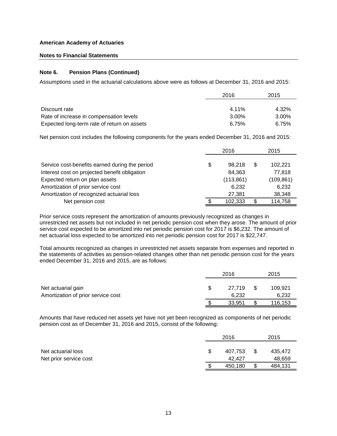## **Notes to Financial Statements**

## **Note 6. Pension Plans (Continued)**

Assumptions used in the actuarial calculations above were as follows at December 31, 2016 and 2015:

|                                             | 2016  | 2015     |
|---------------------------------------------|-------|----------|
|                                             |       |          |
| Discount rate                               | 4.11% | 4.32%    |
| Rate of increase in compensation levels     | 3.00% | $3.00\%$ |
| Expected long-term rate of return on assets | 6.75% | 6.75%    |

Net pension cost includes the following components for the years ended December 31, 2016 and 2015:

|                                                | 2016         | 2015          |
|------------------------------------------------|--------------|---------------|
| Service cost-benefits earned during the period | \$<br>98.218 | \$<br>102.221 |
| Interest cost on projected benefit obligation  | 84.363       | 77.818        |
| Expected return on plan assets                 | (113, 861)   | (109, 861)    |
| Amortization of prior service cost             | 6,232        | 6,232         |
| Amortization of recognized actuarial loss      | 27,381       | 38,348        |
| Net pension cost                               | 102.333      | 114,758       |

Prior service costs represent the amortization of amounts previously recognized as changes in unrestricted net assets but not included in net periodic pension cost when they arose. The amount of prior service cost expected to be amortized into net periodic pension cost for 2017 is \$6,232. The amount of net actuarial loss expected to be amortized into net periodic pension cost for 2017 is \$22,747.

Total amounts recognized as changes in unrestricted net assets separate from expenses and reported in the statements of activities as pension-related changes other than net periodic pension cost for the years ended December 31, 2016 and 2015, are as follows:

|                                                          | 2016 |                 |      | 2015             |  |
|----------------------------------------------------------|------|-----------------|------|------------------|--|
| Net actuarial gain<br>Amortization of prior service cost |      | 27.719<br>6.232 | - \$ | 109,921<br>6,232 |  |
|                                                          |      | 33.951          |      | 116,153          |  |

Amounts that have reduced net assets yet have not yet been recognized as components of net periodic pension cost as of December 31, 2016 and 2015, consist of the following:

|                        | 2016    |    | 2015    |  |
|------------------------|---------|----|---------|--|
|                        |         |    |         |  |
| Net actuarial loss     | 407.753 | \$ | 435,472 |  |
| Net prior service cost | 42.427  |    | 48,659  |  |
|                        | 450.180 | \$ | 484,131 |  |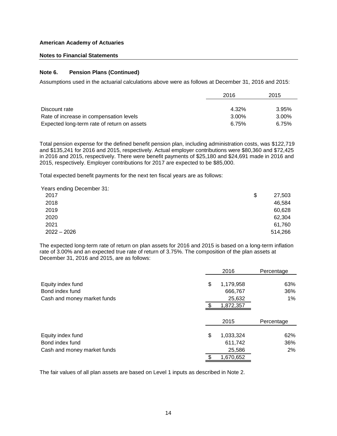## **Notes to Financial Statements**

## **Note 6. Pension Plans (Continued)**

Assumptions used in the actuarial calculations above were as follows at December 31, 2016 and 2015:

|                                             | 2016  | 2015  |  |
|---------------------------------------------|-------|-------|--|
|                                             |       |       |  |
| Discount rate                               | 4.32% | 3.95% |  |
| Rate of increase in compensation levels     | 3.00% | 3.00% |  |
| Expected long-term rate of return on assets | 6.75% | 6.75% |  |

Total pension expense for the defined benefit pension plan, including administration costs, was \$122,719 and \$135,241 for 2016 and 2015, respectively. Actual employer contributions were \$80,360 and \$72,425 in 2016 and 2015, respectively. There were benefit payments of \$25,180 and \$24,691 made in 2016 and 2015, respectively. Employer contributions for 2017 are expected to be \$85,000.

Total expected benefit payments for the next ten fiscal years are as follows:

Years ending December 31:

| . .<br>2017   | \$<br>27,503 |
|---------------|--------------|
| 2018          | 46,584       |
| 2019          | 60,628       |
| 2020          | 62,304       |
| 2021          | 61,760       |
| $2022 - 2026$ | 514,266      |

The expected long-term rate of return on plan assets for 2016 and 2015 is based on a long-term inflation rate of 3.00% and an expected true rate of return of 3.75%. The composition of the plan assets at December 31, 2016 and 2015, are as follows:

|                             | 2016            | Percentage |
|-----------------------------|-----------------|------------|
| Equity index fund           | \$<br>1,179,958 | 63%        |
| Bond index fund             | 666,767         | 36%        |
| Cash and money market funds | 25,632          | $1\%$      |
|                             | 1,872,357       |            |
|                             | 2015            | Percentage |
| Equity index fund           | \$<br>1,033,324 | 62%        |
| Bond index fund             | 611,742         | 36%        |
| Cash and money market funds | 25,586          | $2\%$      |
|                             | 1,670,652       |            |

The fair values of all plan assets are based on Level 1 inputs as described in Note 2.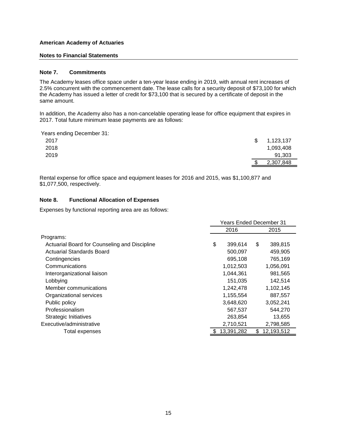## **Notes to Financial Statements**

## **Note 7. Commitments**

The Academy leases office space under a ten-year lease ending in 2019, with annual rent increases of 2.5% concurrent with the commencement date. The lease calls for a security deposit of \$73,100 for which the Academy has issued a letter of credit for \$73,100 that is secured by a certificate of deposit in the same amount.

In addition, the Academy also has a non-cancelable operating lease for office equipment that expires in 2017. Total future minimum lease payments are as follows:

Years ending December 31:

| 2017 | \$<br>1,123,137 |
|------|-----------------|
| 2018 | 1,093,408       |
| 2019 | 91,303          |
|      | \$<br>2,307,848 |

Rental expense for office space and equipment leases for 2016 and 2015, was \$1,100,877 and \$1,077,500, respectively.

## **Note 8. Functional Allocation of Expenses**

Expenses by functional reporting area are as follows:

|                                               | <b>Years Ended December 31</b> |    |            |  |
|-----------------------------------------------|--------------------------------|----|------------|--|
|                                               | 2016                           |    | 2015       |  |
| Programs:                                     |                                |    |            |  |
| Actuarial Board for Counseling and Discipline | \$<br>399,614                  | \$ | 389,815    |  |
| <b>Actuarial Standards Board</b>              | 500,097                        |    | 459,905    |  |
| Contingencies                                 | 695,108                        |    | 765,169    |  |
| Communications                                | 1,012,503                      |    | 1,056,091  |  |
| Interorganizational liaison                   | 1,044,361                      |    | 981,565    |  |
| Lobbying                                      | 151,035                        |    | 142,514    |  |
| Member communications                         | 1,242,478                      |    | 1,102,145  |  |
| Organizational services                       | 1,155,554                      |    | 887,557    |  |
| Public policy                                 | 3,648,620                      |    | 3,052,241  |  |
| Professionalism                               | 567,537                        |    | 544,270    |  |
| <b>Strategic Initiatives</b>                  | 263,854                        |    | 13,655     |  |
| Executive/administrative                      | 2,710,521                      |    | 2,798,585  |  |
| Total expenses                                | \$<br>13,391,282               | \$ | 12,193,512 |  |